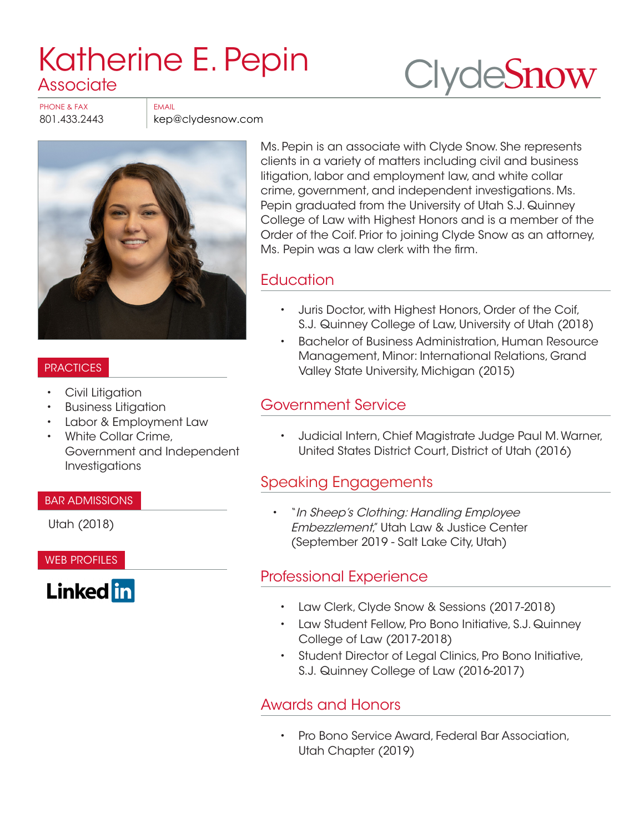# [Katherine E. Pepin](https://www.clydesnow.com/attorneys/57-Katherine-E-Pepin) **Associate**

**Clyde[Snow](http://www.clydesnow.com)** 

PHONE & FAX FAX

801.433.2443 kep@clydesnow.com



#### PRACTICES

- Civil Litigation
- Business Litigation
- Labor & Employment Law
- White Collar Crime, Government and Independent Investigations

#### BAR ADMISSIONS

Utah (2018)

#### WEB PROFILES



Ms. Pepin is an associate with Clyde Snow. She represents clients in a variety of matters including civil and business litigation, labor and employment law, and white collar crime, government, and independent investigations. Ms. Pepin graduated from the University of Utah S.J. Quinney College of Law with Highest Honors and is a member of the Order of the Coif. Prior to joining Clyde Snow as an attorney, Ms. Pepin was a law clerk with the firm.

#### **Education**

- Juris Doctor, with Highest Honors, Order of the Coif, S.J. Quinney College of Law, University of Utah (2018)
- Bachelor of Business Administration, Human Resource Management, Minor: International Relations, Grand Valley State University, Michigan (2015)

### Government Service

• Judicial Intern, Chief Magistrate Judge Paul M. Warner, United States District Court, District of Utah (2016)

# Speaking Engagements

• "In Sheep's Clothing: Handling Employee Embezzlement," Utah Law & Justice Center (September 2019 - Salt Lake City, Utah)

# Professional Experience

- Law Clerk, Clyde Snow & Sessions (2017-2018)
- Law Student Fellow, Pro Bono Initiative, S.J. Quinney College of Law (2017-2018)
- Student Director of Legal Clinics, Pro Bono Initiative, S.J. Quinney College of Law (2016-2017)

# Awards and Honors

• Pro Bono Service Award, Federal Bar Association, Utah Chapter (2019)